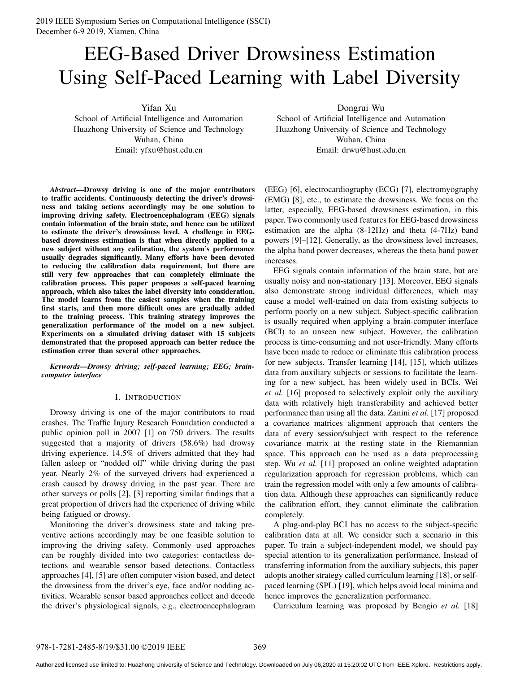2019 IEEE Symposium Series on Computational Intelligence (SSCI) December 6-9 2019, Xiamen, China

# EEG-Based Driver Drowsiness Estimation Using Self-Paced Learning with Label Diversity

Yifan Xu

School of Artificial Intelligence and Automation Huazhong University of Science and Technology Wuhan, China Email: yfxu@hust.edu.cn

*Abstract***—Drowsy driving is one of the major contributors to traffic accidents. Continuously detecting the driver's drowsiness and taking actions accordingly may be one solution to improving driving safety. Electroencephalogram (EEG) signals contain information of the brain state, and hence can be utilized to estimate the driver's drowsiness level. A challenge in EEGbased drowsiness estimation is that when directly applied to a new subject without any calibration, the system's performance usually degrades significantly. Many efforts have been devoted to reducing the calibration data requirement, but there are still very few approaches that can completely eliminate the calibration process. This paper proposes a self-paced learning approach, which also takes the label diversity into consideration. The model learns from the easiest samples when the training first starts, and then more difficult ones are gradually added to the training process. This training strategy improves the generalization performance of the model on a new subject. Experiments on a simulated driving dataset with 15 subjects demonstrated that the proposed approach can better reduce the estimation error than several other approaches.**

*Keywords***—***Drowsy driving; self-paced learning; EEG; braincomputer interface*

## I. INTRODUCTION

Drowsy driving is one of the major contributors to road crashes. The Traffic Injury Research Foundation conducted a public opinion poll in 2007 [1] on 750 drivers. The results suggested that a majority of drivers (58.6%) had drowsy driving experience. 14.5% of drivers admitted that they had fallen asleep or "nodded off" while driving during the past year. Nearly 2% of the surveyed drivers had experienced a crash caused by drowsy driving in the past year. There are other surveys or polls [2], [3] reporting similar findings that a great proportion of drivers had the experience of driving while being fatigued or drowsy.

Monitoring the driver's drowsiness state and taking preventive actions accordingly may be one feasible solution to improving the driving safety. Commonly used approaches can be roughly divided into two categories: contactless detections and wearable sensor based detections. Contactless approaches [4], [5] are often computer vision based, and detect the drowsiness from the driver's eye, face and/or nodding activities. Wearable sensor based approaches collect and decode the driver's physiological signals, e.g., electroencephalogram Dongrui Wu

School of Artificial Intelligence and Automation Huazhong University of Science and Technology Wuhan, China Email: drwu@hust.edu.cn

(EEG) [6], electrocardiography (ECG) [7], electromyography (EMG) [8], etc., to estimate the drowsiness. We focus on the latter, especially, EEG-based drowsiness estimation, in this paper. Two commonly used features for EEG-based drowsiness estimation are the alpha (8-12Hz) and theta (4-7Hz) band powers [9]–[12]. Generally, as the drowsiness level increases, the alpha band power decreases, whereas the theta band power increases.

EEG signals contain information of the brain state, but are usually noisy and non-stationary [13]. Moreover, EEG signals also demonstrate strong individual differences, which may cause a model well-trained on data from existing subjects to perform poorly on a new subject. Subject-specific calibration is usually required when applying a brain-computer interface (BCI) to an unseen new subject. However, the calibration process is time-consuming and not user-friendly. Many efforts have been made to reduce or eliminate this calibration process for new subjects. Transfer learning [14], [15], which utilizes data from auxiliary subjects or sessions to facilitate the learning for a new subject, has been widely used in BCIs. Wei *et al.* [16] proposed to selectively exploit only the auxiliary data with relatively high transferability and achieved better performance than using all the data. Zanini *et al.* [17] proposed a covariance matrices alignment approach that centers the data of every session/subject with respect to the reference covariance matrix at the resting state in the Riemannian space. This approach can be used as a data preprocessing step. Wu *et al.* [11] proposed an online weighted adaptation regularization approach for regression problems, which can train the regression model with only a few amounts of calibration data. Although these approaches can significantly reduce the calibration effort, they cannot eliminate the calibration completely.

A plug-and-play BCI has no access to the subject-specific calibration data at all. We consider such a scenario in this paper. To train a subject-independent model, we should pay special attention to its generalization performance. Instead of transferring information from the auxiliary subjects, this paper adopts another strategy called curriculum learning [18], or selfpaced learning (SPL) [19], which helps avoid local minima and hence improves the generalization performance.

Curriculum learning was proposed by Bengio *et al.* [18]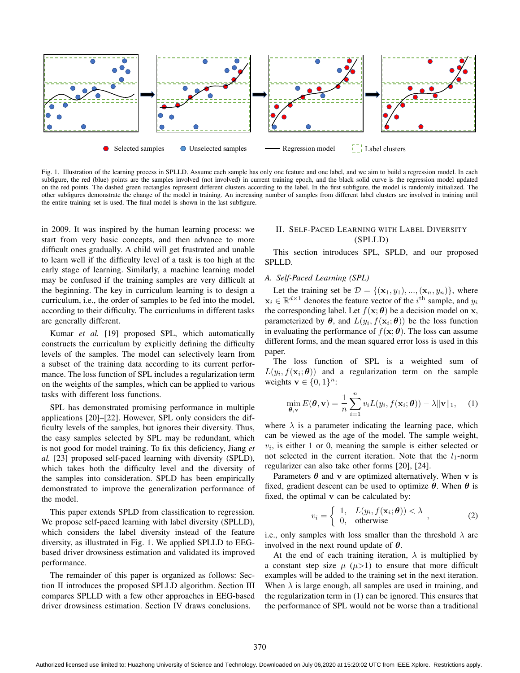

Fig. 1. Illustration of the learning process in SPLLD. Assume each sample has only one feature and one label, and we aim to build a regression model. In each subfigure, the red (blue) points are the samples involved (not involved) in current training epoch, and the black solid curve is the regression model updated on the red points. The dashed green rectangles represent different clusters according to the label. In the first subfigure, the model is randomly initialized. The other subfigures demonstrate the change of the model in training. An increasing number of samples from different label clusters are involved in training until the entire training set is used. The final model is shown in the last subfigure.

in 2009. It was inspired by the human learning process: we start from very basic concepts, and then advance to more difficult ones gradually. A child will get frustrated and unable to learn well if the difficulty level of a task is too high at the early stage of learning. Similarly, a machine learning model may be confused if the training samples are very difficult at the beginning. The key in curriculum learning is to design a curriculum, i.e., the order of samples to be fed into the model, according to their difficulty. The curriculums in different tasks are generally different.

Kumar *et al.* [19] proposed SPL, which automatically constructs the curriculum by explicitly defining the difficulty levels of the samples. The model can selectively learn from a subset of the training data according to its current performance. The loss function of SPL includes a regularization term on the weights of the samples, which can be applied to various tasks with different loss functions.

SPL has demonstrated promising performance in multiple applications [20]–[22]. However, SPL only considers the difficulty levels of the samples, but ignores their diversity. Thus, the easy samples selected by SPL may be redundant, which is not good for model training. To fix this deficiency, Jiang *et al.* [23] proposed self-paced learning with diversity (SPLD), which takes both the difficulty level and the diversity of the samples into consideration. SPLD has been empirically demonstrated to improve the generalization performance of the model.

This paper extends SPLD from classification to regression. We propose self-paced learning with label diversity (SPLLD), which considers the label diversity instead of the feature diversity, as illustrated in Fig. 1. We applied SPLLD to EEGbased driver drowsiness estimation and validated its improved performance.

The remainder of this paper is organized as follows: Section II introduces the proposed SPLLD algorithm. Section III compares SPLLD with a few other approaches in EEG-based driver drowsiness estimation. Section IV draws conclusions.

## II. SELF-PACED LEARNING WITH LABEL DIVERSITY (SPLLD)

This section introduces SPL, SPLD, and our proposed SPLLD.

#### *A. Self-Paced Learning (SPL)*

Let the training set be  $\mathcal{D} = \{(\mathbf{x}_1, y_1), ..., (\mathbf{x}_n, y_n)\}\)$ , where  $x_i \in \mathbb{R}^{d \times 1}$  denotes the feature vector of the  $i^{\text{th}}$  sample, and  $y_i$ the corresponding label. Let  $f(\mathbf{x}; \theta)$  be a decision model on **x**, parameterized by  $\theta$ , and  $L(y_i, f(\mathbf{x}_i; \theta))$  be the loss function in evaluating the performance of  $f(\mathbf{x}; \boldsymbol{\theta})$ . The loss can assume different forms, and the mean squared error loss is used in this paper.

The loss function of SPL is a weighted sum of  $L(y_i, f(\mathbf{x}_i; \theta))$  and a regularization term on the sample weights  $\mathbf{v} \in \{0,1\}^n$ :

$$
\min_{\boldsymbol{\theta}, \mathbf{v}} E(\boldsymbol{\theta}, \mathbf{v}) = \frac{1}{n} \sum_{i=1}^{n} v_i L(y_i, f(\mathbf{x}_i; \boldsymbol{\theta})) - \lambda \|\mathbf{v}\|_1, \quad (1)
$$

where  $\lambda$  is a parameter indicating the learning pace, which can be viewed as the age of the model. The sample weight,  $v_i$ , is either 1 or 0, meaning the sample is either selected or not selected in the current iteration. Note that the  $l_1$ -norm regularizer can also take other forms [20], [24].

Parameters  $\theta$  and v are optimized alternatively. When v is fixed, gradient descent can be used to optimize  $\theta$ . When  $\theta$  is fixed, the optimal v can be calculated by:

$$
v_i = \begin{cases} 1, & L(y_i, f(\mathbf{x}_i; \boldsymbol{\theta})) < \lambda \\ 0, & \text{otherwise} \end{cases}, \tag{2}
$$

i.e., only samples with loss smaller than the threshold  $\lambda$  are involved in the next round update of  $\theta$ .

At the end of each training iteration,  $\lambda$  is multiplied by a constant step size  $\mu$  ( $\mu$ >1) to ensure that more difficult examples will be added to the training set in the next iteration. When  $\lambda$  is large enough, all samples are used in training, and the regularization term in (1) can be ignored. This ensures that the performance of SPL would not be worse than a traditional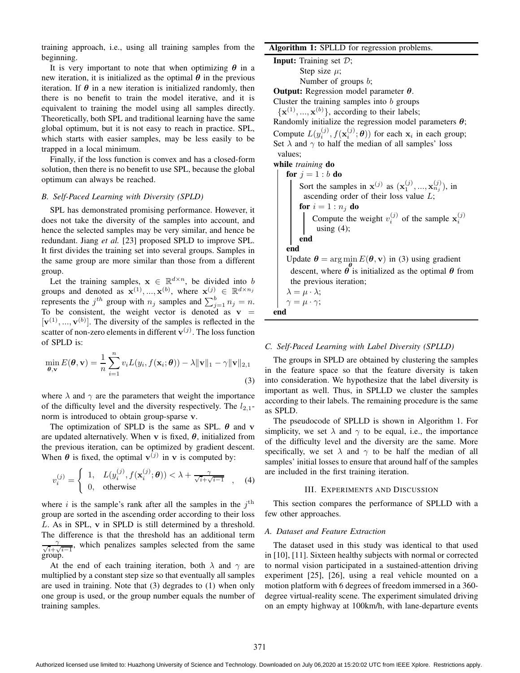training approach, i.e., using all training samples from the beginning.

It is very important to note that when optimizing  $\theta$  in a new iteration, it is initialized as the optimal  $\theta$  in the previous iteration. If  $\theta$  in a new iteration is initialized randomly, then there is no benefit to train the model iterative, and it is equivalent to training the model using all samples directly. Theoretically, both SPL and traditional learning have the same global optimum, but it is not easy to reach in practice. SPL, which starts with easier samples, may be less easily to be trapped in a local minimum.

Finally, if the loss function is convex and has a closed-form solution, then there is no benefit to use SPL, because the global optimum can always be reached.

#### *B. Self-Paced Learning with Diversity (SPLD)*

SPL has demonstrated promising performance. However, it does not take the diversity of the samples into account, and hence the selected samples may be very similar, and hence be redundant. Jiang *et al.* [23] proposed SPLD to improve SPL. It first divides the training set into several groups. Samples in the same group are more similar than those from a different group.

Let the training samples,  $\mathbf{x} \in \mathbb{R}^{d \times n}$ , be divided into b groups and denoted as  $\mathbf{x}^{(1)},...,\mathbf{x}^{(b)}$ , where  $\mathbf{x}^{(j)} \in \mathbb{R}^{d \times n_j}$ represents the  $j^{th}$  group with  $n_j$  samples and  $\sum_{j=1}^{b} n_j = n$ . To be consistent, the weight vector is denoted as  $v =$  $[v^{(1)},...,v^{(b)}]$ . The diversity of the samples is reflected in the scatter of non-zero elements in different  $\mathbf{v}^{(j)}$ . The loss function of SPLD is:

$$
\min_{\boldsymbol{\theta}, \mathbf{v}} E(\boldsymbol{\theta}, \mathbf{v}) = \frac{1}{n} \sum_{i=1}^{n} v_i L(y_i, f(\mathbf{x}_i; \boldsymbol{\theta})) - \lambda \|\mathbf{v}\|_1 - \gamma \|\mathbf{v}\|_{2,1}
$$
\n(3)

where  $\lambda$  and  $\gamma$  are the parameters that weight the importance of the difficulty level and the diversity respectively. The  $l_{2,1}$ norm is introduced to obtain group-sparse v.

The optimization of SPLD is the same as SPL.  $\theta$  and v are updated alternatively. When v is fixed,  $\theta$ , initialized from the previous iteration, can be optimized by gradient descent. When  $\theta$  is fixed, the optimal  $\mathbf{v}^{(j)}$  in  $\mathbf{v}$  is computed by:

$$
v_i^{(j)} = \begin{cases} 1, & L(y_i^{(j)}, f(\mathbf{x}_i^{(j)}; \boldsymbol{\theta})) < \lambda + \frac{\gamma}{\sqrt{i} + \sqrt{i - 1}} \\ 0, & \text{otherwise} \end{cases}
$$
 (4)

where i is the sample's rank after all the samples in the  $j<sup>th</sup>$ group are sorted in the ascending order according to their loss L. As in SPL, v in SPLD is still determined by a threshold. The difference is that the threshold has an additional term  $\frac{\gamma}{\sqrt{i}+1}$  $\frac{\gamma}{i+\sqrt{i-1}}$ , which penalizes samples selected from the same group.

At the end of each training iteration, both  $\lambda$  and  $\gamma$  are multiplied by a constant step size so that eventually all samples are used in training. Note that (3) degrades to (1) when only one group is used, or the group number equals the number of training samples.

## **Algorithm 1:** SPLLD for regression problems.

**Input:** Training set D; Step size  $\mu$ ; Number of groups b;

**Output:** Regression model parameter θ.

Cluster the training samples into  $b$  groups  ${x<sup>(1)</sup>, ..., x<sup>(b)</sup>},$  according to their labels;

Randomly initialize the regression model parameters  $\theta$ ; Compute  $L(y_i^{(j)}, f(\mathbf{x}_i^{(j)}; \boldsymbol{\theta}))$  for each  $\mathbf{x}_i$  in each group; Set  $\lambda$  and  $\gamma$  to half the median of all samples' loss values;

**while** *training* **do**

**for**  $j = 1 : b$  **do** Sort the samples in  $\mathbf{x}^{(j)}$  as  $(\mathbf{x}_1^{(j)},...,\mathbf{x}_{n_j}^{(j)})$ , in ascending order of their loss value  $L$ ; **for**  $i = 1 : n_i$  **do** Compute the weight  $v_i^{(j)}$  of the sample  $\mathbf{x}_i^{(j)}$ using  $(4)$ ; **end end** Update  $\theta = \arg \min E(\theta, \mathbf{v})$  in (3) using gradient descent, where  $\theta$  is initialized as the optimal  $\theta$  from the previous iteration;  $\lambda = \mu \cdot \lambda$ ;  $\gamma = \mu \cdot \gamma;$ **end**

## *C. Self-Paced Learning with Label Diversity (SPLLD)*

The groups in SPLD are obtained by clustering the samples in the feature space so that the feature diversity is taken into consideration. We hypothesize that the label diversity is important as well. Thus, in SPLLD we cluster the samples according to their labels. The remaining procedure is the same as SPLD.

The pseudocode of SPLLD is shown in Algorithm 1. For simplicity, we set  $\lambda$  and  $\gamma$  to be equal, i.e., the importance of the difficulty level and the diversity are the same. More specifically, we set  $\lambda$  and  $\gamma$  to be half the median of all samples' initial losses to ensure that around half of the samples are included in the first training iteration.

#### III. EXPERIMENTS AND DISCUSSION

This section compares the performance of SPLLD with a few other approaches.

## *A. Dataset and Feature Extraction*

The dataset used in this study was identical to that used in [10], [11]. Sixteen healthy subjects with normal or corrected to normal vision participated in a sustained-attention driving experiment [25], [26], using a real vehicle mounted on a motion platform with 6 degrees of freedom immersed in a 360 degree virtual-reality scene. The experiment simulated driving on an empty highway at 100km/h, with lane-departure events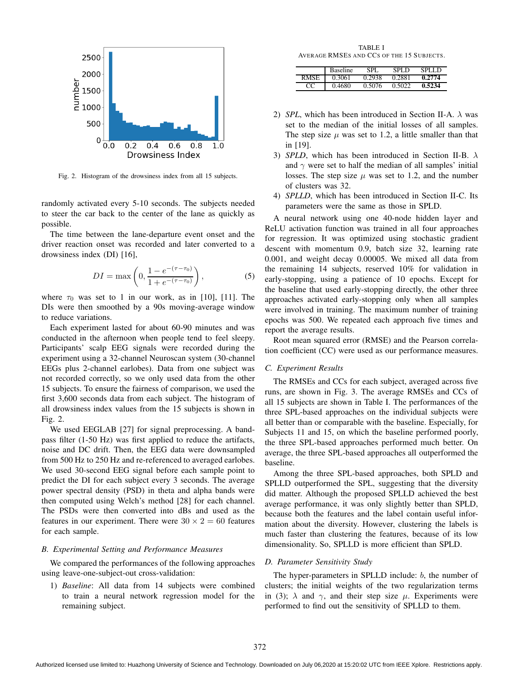

Fig. 2. Histogram of the drowsiness index from all 15 subjects.

randomly activated every 5-10 seconds. The subjects needed to steer the car back to the center of the lane as quickly as possible.

The time between the lane-departure event onset and the driver reaction onset was recorded and later converted to a drowsiness index (DI) [16],

$$
DI = \max\left(0, \frac{1 - e^{-(\tau - \tau_0)}}{1 + e^{-(\tau - \tau_0)}}\right),\tag{5}
$$

where  $\tau_0$  was set to 1 in our work, as in [10], [11]. The DIs were then smoothed by a 90s moving-average window to reduce variations.

Each experiment lasted for about 60-90 minutes and was conducted in the afternoon when people tend to feel sleepy. Participants' scalp EEG signals were recorded during the experiment using a 32-channel Neuroscan system (30-channel EEGs plus 2-channel earlobes). Data from one subject was not recorded correctly, so we only used data from the other 15 subjects. To ensure the fairness of comparison, we used the first 3,600 seconds data from each subject. The histogram of all drowsiness index values from the 15 subjects is shown in Fig. 2.

We used EEGLAB [27] for signal preprocessing. A bandpass filter (1-50 Hz) was first applied to reduce the artifacts, noise and DC drift. Then, the EEG data were downsampled from 500 Hz to 250 Hz and re-referenced to averaged earlobes. We used 30-second EEG signal before each sample point to predict the DI for each subject every 3 seconds. The average power spectral density (PSD) in theta and alpha bands were then computed using Welch's method [28] for each channel. The PSDs were then converted into dBs and used as the features in our experiment. There were  $30 \times 2 = 60$  features for each sample.

### *B. Experimental Setting and Performance Measures*

We compared the performances of the following approaches using leave-one-subject-out cross-validation:

1) *Baseline*: All data from 14 subjects were combined to train a neural network regression model for the remaining subject.

TABLE I AVERAGE RMSES AND CCS OF THE 15 SUBJECTS.

|             | <b>Baseline</b> | SPL.   | SPL D  | SPLL D |
|-------------|-----------------|--------|--------|--------|
| <b>RMSE</b> | 0.3061          | 0.2938 | 0.2881 | 0.2774 |
|             | 0.4680          | 0.5076 | 0.5022 | 0.5234 |

- 2) *SPL*, which has been introduced in Section II-A.  $\lambda$  was set to the median of the initial losses of all samples. The step size  $\mu$  was set to 1.2, a little smaller than that in [19].
- 3) *SPLD*, which has been introduced in Section II-B. λ and  $\gamma$  were set to half the median of all samples' initial losses. The step size  $\mu$  was set to 1.2, and the number of clusters was 32.
- 4) *SPLLD*, which has been introduced in Section II-C. Its parameters were the same as those in SPLD.

A neural network using one 40-node hidden layer and ReLU activation function was trained in all four approaches for regression. It was optimized using stochastic gradient descent with momentum 0.9, batch size 32, learning rate 0.001, and weight decay 0.00005. We mixed all data from the remaining 14 subjects, reserved 10% for validation in early-stopping, using a patience of 10 epochs. Except for the baseline that used early-stopping directly, the other three approaches activated early-stopping only when all samples were involved in training. The maximum number of training epochs was 500. We repeated each approach five times and report the average results.

Root mean squared error (RMSE) and the Pearson correlation coefficient (CC) were used as our performance measures.

## *C. Experiment Results*

The RMSEs and CCs for each subject, averaged across five runs, are shown in Fig. 3. The average RMSEs and CCs of all 15 subjects are shown in Table I. The performances of the three SPL-based approaches on the individual subjects were all better than or comparable with the baseline. Especially, for Subjects 11 and 15, on which the baseline performed poorly, the three SPL-based approaches performed much better. On average, the three SPL-based approaches all outperformed the baseline.

Among the three SPL-based approaches, both SPLD and SPLLD outperformed the SPL, suggesting that the diversity did matter. Although the proposed SPLLD achieved the best average performance, it was only slightly better than SPLD, because both the features and the label contain useful information about the diversity. However, clustering the labels is much faster than clustering the features, because of its low dimensionality. So, SPLLD is more efficient than SPLD.

#### *D. Parameter Sensitivity Study*

The hyper-parameters in SPLLD include: b, the number of clusters; the initial weights of the two regularization terms in (3);  $\lambda$  and  $\gamma$ , and their step size  $\mu$ . Experiments were performed to find out the sensitivity of SPLLD to them.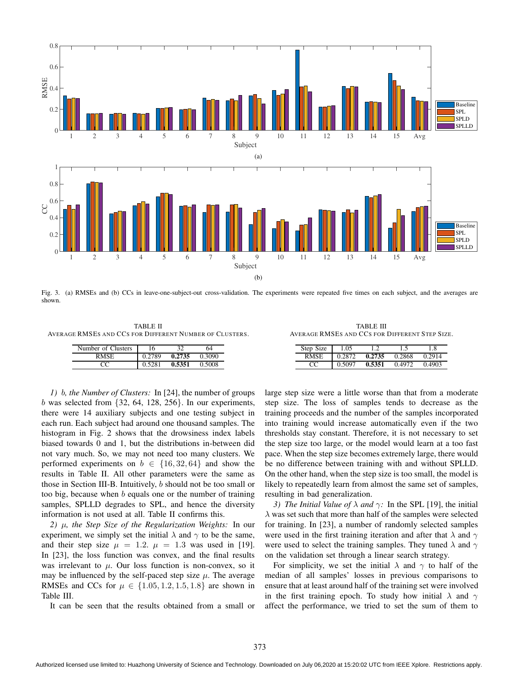

Fig. 3. (a) RMSEs and (b) CCs in leave-one-subject-out cross-validation. The experiments were repeated five times on each subject, and the averages are shown.

TABLE II AVERAGE RMSES AND CCS FOR DIFFERENT NUMBER OF CLUSTERS.

| Number of Clusters | 16     | 32     | 64     |
|--------------------|--------|--------|--------|
| RMSE               | 0.2789 | 0.2735 | 0.3090 |
|                    | 0.5281 | 0.5351 | 0.5008 |

TABLE III AVERAGE RMSES AND CCS FOR DIFFERENT STEP SIZE.

| Step Size | 1.05   |        |        | .8     |
|-----------|--------|--------|--------|--------|
| RMSE      | 0.2872 | 0.2735 | 0.2868 | 0.2914 |
|           | 0.5097 | 0.5351 | 0.4972 | 0.4903 |

*1)* b*, the Number of Clusters:* In [24], the number of groups b was selected from  $\{32, 64, 128, 256\}$ . In our experiments, there were 14 auxiliary subjects and one testing subject in each run. Each subject had around one thousand samples. The histogram in Fig. 2 shows that the drowsiness index labels biased towards 0 and 1, but the distributions in-between did not vary much. So, we may not need too many clusters. We performed experiments on  $b \in \{16, 32, 64\}$  and show the results in Table II. All other parameters were the same as those in Section III-B. Intuitively, b should not be too small or too big, because when  $b$  equals one or the number of training samples, SPLLD degrades to SPL, and hence the diversity information is not used at all. Table II confirms this.

*2)* µ*, the Step Size of the Regularization Weights:* In our experiment, we simply set the initial  $\lambda$  and  $\gamma$  to be the same, and their step size  $\mu = 1.2$ .  $\mu = 1.3$  was used in [19]. In [23], the loss function was convex, and the final results was irrelevant to  $\mu$ . Our loss function is non-convex, so it may be influenced by the self-paced step size  $\mu$ . The average RMSEs and CCs for  $\mu \in \{1.05, 1.2, 1.5, 1.8\}$  are shown in Table III.

It can be seen that the results obtained from a small or

large step size were a little worse than that from a moderate step size. The loss of samples tends to decrease as the training proceeds and the number of the samples incorporated into training would increase automatically even if the two thresholds stay constant. Therefore, it is not necessary to set the step size too large, or the model would learn at a too fast pace. When the step size becomes extremely large, there would be no difference between training with and without SPLLD. On the other hand, when the step size is too small, the model is likely to repeatedly learn from almost the same set of samples, resulting in bad generalization.

*3) The Initial Value of*  $\lambda$  *and*  $\gamma$ : In the SPL [19], the initial  $\lambda$  was set such that more than half of the samples were selected for training. In [23], a number of randomly selected samples were used in the first training iteration and after that  $\lambda$  and  $\gamma$ were used to select the training samples. They tuned  $\lambda$  and  $\gamma$ on the validation set through a linear search strategy.

For simplicity, we set the initial  $\lambda$  and  $\gamma$  to half of the median of all samples' losses in previous comparisons to ensure that at least around half of the training set were involved in the first training epoch. To study how initial  $\lambda$  and  $\gamma$ affect the performance, we tried to set the sum of them to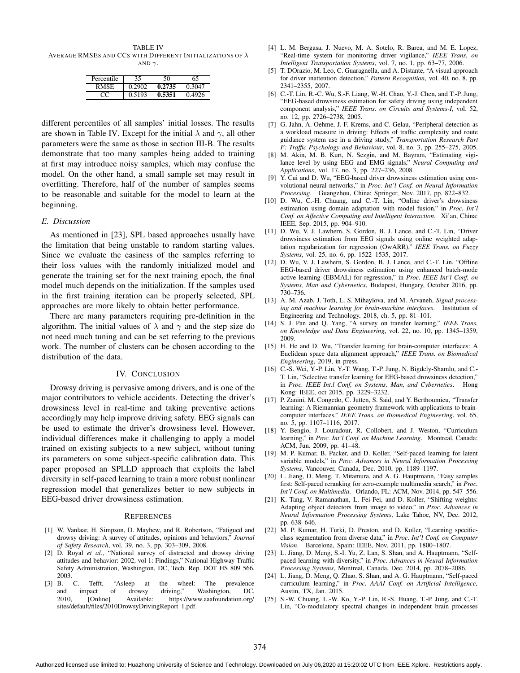TABLE IV AVERAGE RMSES AND CCS WITH DIFFERENT INITIALIZATIONS OF  $\lambda$ AND  $\gamma$ .

| Percentile | 35     |        | 65     |
|------------|--------|--------|--------|
| RMSE       | ገ 2902 | 0.2735 | 0.3047 |
|            | 0.5193 | 0.5351 | 0.4926 |

different percentiles of all samples' initial losses. The results are shown in Table IV. Except for the initial  $\lambda$  and  $\gamma$ , all other parameters were the same as those in section III-B. The results demonstrate that too many samples being added to training at first may introduce noisy samples, which may confuse the model. On the other hand, a small sample set may result in overfitting. Therefore, half of the number of samples seems to be reasonable and suitable for the model to learn at the beginning.

#### *E. Discussion*

As mentioned in [23], SPL based approaches usually have the limitation that being unstable to random starting values. Since we evaluate the easiness of the samples referring to their loss values with the randomly initialized model and generate the training set for the next training epoch, the final model much depends on the initialization. If the samples used in the first training iteration can be properly selected, SPL approaches are more likely to obtain better performance.

There are many parameters requiring pre-definition in the algorithm. The initial values of  $\lambda$  and  $\gamma$  and the step size do not need much tuning and can be set referring to the previous work. The number of clusters can be chosen according to the distribution of the data.

## IV. CONCLUSION

Drowsy driving is pervasive among drivers, and is one of the major contributors to vehicle accidents. Detecting the driver's drowsiness level in real-time and taking preventive actions accordingly may help improve driving safety. EEG signals can be used to estimate the driver's drowsiness level. However, individual differences make it challenging to apply a model trained on existing subjects to a new subject, without tuning its parameters on some subject-specific calibration data. This paper proposed an SPLLD approach that exploits the label diversity in self-paced learning to train a more robust nonlinear regression model that generalizes better to new subjects in EEG-based driver drowsiness estimation.

#### **REFERENCES**

- [1] W. Vanlaar, H. Simpson, D. Mayhew, and R. Robertson, "Fatigued and drowsy driving: A survey of attitudes, opinions and behaviors," *Journal of Safety Research*, vol. 39, no. 3, pp. 303–309, 2008.
- [2] D. Royal *et al.*, "National survey of distracted and drowsy driving attitudes and behavior: 2002, vol 1: Findings," National Highway Traffic Safety Administration, Washington, DC, Tech. Rep. DOT HS 809 566, 2003.<br>[3]  $\,$  B.
- C. Tefft, "Asleep at the wheel: The prevalence impact of drowsy driving," Washington, DC, and impact of drowsy driving," Washington, DC, 2010, [Online] Available: https://www.aaafoundation.org/ sites/default/files/2010DrowsyDrivingReport 1.pdf.
- [4] L. M. Bergasa, J. Nuevo, M. A. Sotelo, R. Barea, and M. E. Lopez, "Real-time system for monitoring driver vigilance," *IEEE Trans. on Intelligent Transportation Systems*, vol. 7, no. 1, pp. 63–77, 2006.
- [5] T. DOrazio, M. Leo, C. Guaragnella, and A. Distante, "A visual approach for driver inattention detection," *Pattern Recognition*, vol. 40, no. 8, pp. 2341–2355, 2007.
- [6] C.-T. Lin, R.-C. Wu, S.-F. Liang, W.-H. Chao, Y.-J. Chen, and T.-P. Jung, "EEG-based drowsiness estimation for safety driving using independent component analysis," *IEEE Trans. on Circuits and Systems-I*, vol. 52, no. 12, pp. 2726–2738, 2005.
- [7] G. Jahn, A. Oehme, J. F. Krems, and C. Gelau, "Peripheral detection as a workload measure in driving: Effects of traffic complexity and route guidance system use in a driving study," *Transportation Research Part F: Traffic Psychology and Behaviour*, vol. 8, no. 3, pp. 255–275, 2005.
- [8] M. Akin, M. B. Kurt, N. Sezgin, and M. Bayram, "Estimating vigilance level by using EEG and EMG signals," *Neural Computing and Applications*, vol. 17, no. 3, pp. 227–236, 2008.
- [9] Y. Cui and D. Wu, "EEG-based driver drowsiness estimation using convolutional neural networks," in *Proc. Int'l Conf. on Neural Information Processing*. Guangzhou, China: Springer, Nov. 2017, pp. 822–832.
- [10] D. Wu, C.-H. Chuang, and C.-T. Lin, "Online driver's drowsiness estimation using domain adaptation with model fusion," in *Proc. Int'l Conf. on Affective Computing and Intelligent Interaction*. Xi'an, China: IEEE, Sep. 2015, pp. 904–910.
- [11] D. Wu, V. J. Lawhern, S. Gordon, B. J. Lance, and C.-T. Lin, "Driver drowsiness estimation from EEG signals using online weighted adaptation regularization for regression (OwARR)," *IEEE Trans. on Fuzzy Systems*, vol. 25, no. 6, pp. 1522–1535, 2017.
- [12] D. Wu, V. J. Lawhern, S. Gordon, B. J. Lance, and C.-T. Lin, "Offline EEG-based driver drowsiness estimation using enhanced batch-mode active learning (EBMAL) for regression," in *Proc. IEEE Int'l Conf. on Systems, Man and Cybernetics*, Budapest, Hungary, October 2016, pp. 730–736.
- [13] A. M. Azab, J. Toth, L. S. Mihaylova, and M. Arvaneh, *Signal processing and machine learning for brain-machine interfaces*. Institution of Engineering and Technology, 2018, ch. 5, pp. 81–101.
- [14] S. J. Pan and Q. Yang, "A survey on transfer learning," *IEEE Trans. on Knowledge and Data Engineering*, vol. 22, no. 10, pp. 1345–1359, 2009.
- [15] H. He and D. Wu, "Transfer learning for brain-computer interfaces: A Euclidean space data alignment approach," *IEEE Trans. on Biomedical Engineering*, 2019, in press.
- [16] C.-S. Wei, Y.-P. Lin, Y.-T. Wang, T.-P. Jung, N. Bigdely-Shamlo, and C.-T. Lin, "Selective transfer learning for EEG-based drowsiness detection," in *Proc. IEEE Int.l Conf, on Systems, Man, and Cybernetics*. Hong Kong: IEEE, oct 2015, pp. 3229–3232.
- [17] P. Zanini, M. Congedo, C. Jutten, S. Said, and Y. Berthoumieu, "Transfer learning: A Riemannian geometry framework with applications to braincomputer interfaces," *IEEE Trans. on Biomedical Engineering*, vol. 65, no. 5, pp. 1107–1116, 2017.
- [18] Y. Bengio, J. Louradour, R. Collobert, and J. Weston, "Curriculum learning," in *Proc. Int'l Conf. on Machine Learning*. Montreal, Canada: ACM, Jun. 2009, pp. 41–48.
- [19] M. P. Kumar, B. Packer, and D. Koller, "Self-paced learning for latent variable models," in *Proc. Advances in Neural Information Processing Systems*, Vancouver, Canada, Dec. 2010, pp. 1189–1197.
- [20] L. Jiang, D. Meng, T. Mitamura, and A. G. Hauptmann, "Easy samples first: Self-paced reranking for zero-example multimedia search," in *Proc. Int'l Conf. on Multimedia*. Orlando, FL: ACM, Nov. 2014, pp. 547–556.
- [21] K. Tang, V. Ramanathan, L. Fei-Fei, and D. Koller, "Shifting weights: Adapting object detectors from image to video," in *Proc. Advances in Neural Information Processing Systems*, Lake Tahoe, NV, Dec. 2012, pp. 638–646.
- [22] M. P. Kumar, H. Turki, D. Preston, and D. Koller, "Learning specificclass segmentation from diverse data," in *Proc. Int'l Conf. on Computer Vision*. Barcelona, Spain: IEEE, Nov. 2011, pp. 1800–1807.
- [23] L. Jiang, D. Meng, S.-I. Yu, Z. Lan, S. Shan, and A. Hauptmann, "Selfpaced learning with diversity," in *Proc. Advances in Neural Information Processing Systems*, Montreal, Canada, Dec. 2014, pp. 2078–2086.
- [24] L. Jiang, D. Meng, Q. Zhao, S. Shan, and A. G. Hauptmann, "Self-paced curriculum learning," in *Proc. AAAI Conf. on Artificial Intelligence*, Austin, TX, Jan. 2015.
- [25] S.-W. Chuang, L.-W. Ko, Y.-P. Lin, R.-S. Huang, T.-P. Jung, and C.-T. Lin, "Co-modulatory spectral changes in independent brain processes